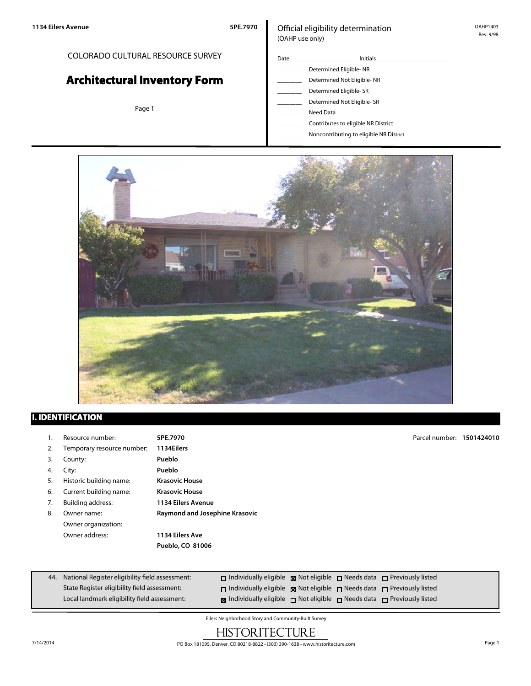#### COLORADO CULTURAL RESOURCE SURVEY

# **Architectural Inventory Form**

Page 1

#### Official eligibility determination (OAHP use only)

- Date \_\_\_\_\_\_\_\_\_\_\_\_\_\_\_\_\_\_\_\_\_ Initials\_\_\_\_\_\_\_\_\_\_\_\_\_\_\_\_\_\_\_\_\_\_\_\_ \_\_\_\_\_\_\_\_ Determined Eligible- NR Determined Not Eligible- NR Determined Eligible- SR Determined Not Eligible- SR Need Data \_\_\_\_\_\_\_\_ Contributes to eligible NR District
	- \_\_\_\_\_\_\_\_ Noncontributing to eligible NR District



#### **I. IDENTIFICATION**

| 1. | Resource number:           | 5PE.7970                       | Parcel number: 1501424010 |  |
|----|----------------------------|--------------------------------|---------------------------|--|
| 2. | Temporary resource number: | 1134Eilers                     |                           |  |
| 3. | County:                    | Pueblo                         |                           |  |
| 4. | City:                      | Pueblo                         |                           |  |
| 5. | Historic building name:    | <b>Krasovic House</b>          |                           |  |
| 6. | Current building name:     | <b>Krasovic House</b>          |                           |  |
| 7. | <b>Building address:</b>   | <b>1134 Eilers Avenue</b>      |                           |  |
| 8. | Owner name:                | Raymond and Josephine Krasovic |                           |  |
|    | Owner organization:        |                                |                           |  |
|    | Owner address:             | 1134 Eilers Ave                |                           |  |
|    |                            | Pueblo, CO 81006               |                           |  |
|    |                            |                                |                           |  |

| 44. National Register eligibility field assessment: | $\Box$ Individually eligible $\boxtimes$ Not eligible $\Box$ Needs data $\Box$ Previously listed |  |  |
|-----------------------------------------------------|--------------------------------------------------------------------------------------------------|--|--|
| State Register eligibility field assessment:        | $\Box$ Individually eligible $\boxtimes$ Not eligible $\Box$ Needs data $\Box$ Previously listed |  |  |
| Local landmark eligibility field assessment:        | <b>x</b> Individually eligible $\Box$ Not eligible $\Box$ Needs data $\Box$ Previously listed    |  |  |

Eilers Neighborhood Story and Community-Built Survey

## **HISTORITECTURE**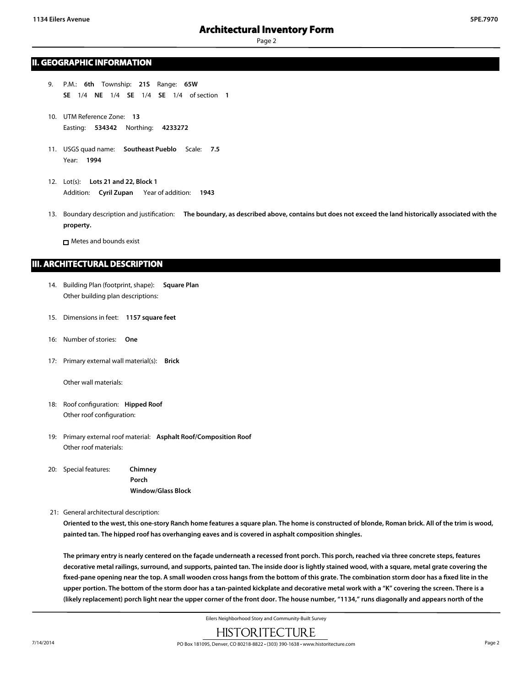Page 2

#### **II. GEOGRAPHIC INFORMATION**

- 9. P.M.: **6th** Township: **21S** Range: **65W SE** 1/4 **NE** 1/4 **SE** 1/4 **SE** 1/4 of section **1**
- 10. UTM Reference Zone: **13** Easting: **534342** Northing: **4233272**
- 11. USGS quad name: **Southeast Pueblo** Scale: **7.5** Year: **1994**
- 12. Lot(s): **Lots 21 and 22, Block 1** Addition: **Cyril Zupan** Year of addition: **1943**
- 13. Boundary description and justification: **The boundary, as described above, contains but does not exceed the land historically associated with the property.**

Metes and bounds exist

#### **III. ARCHITECTURAL DESCRIPTION**

- 14. Building Plan (footprint, shape): **Square Plan** Other building plan descriptions:
- 15. Dimensions in feet: **1157 square feet**
- 16: Number of stories: **One**
- 17: Primary external wall material(s): **Brick**

Other wall materials:

- 18: Roof configuration: **Hipped Roof** Other roof configuration:
- 19: Primary external roof material: **Asphalt Roof/Composition Roof** Other roof materials:
- 20: Special features: **Chimney Porch Window/Glass Block**
- 21: General architectural description:

**Oriented to the west, this one-story Ranch home features a square plan. The home is constructed of blonde, Roman brick. All of the trim is wood, painted tan. The hipped roof has overhanging eaves and is covered in asphalt composition shingles.**

**The primary entry is nearly centered on the façade underneath a recessed front porch. This porch, reached via three concrete steps, features decorative metal railings, surround, and supports, painted tan. The inside door is lightly stained wood, with a square, metal grate covering the fixed-pane opening near the top. A small wooden cross hangs from the bottom of this grate. The combination storm door has a fixed lite in the upper portion. The bottom of the storm door has a tan-painted kickplate and decorative metal work with a "K" covering the screen. There is a (likely replacement) porch light near the upper corner of the front door. The house number, "1134," runs diagonally and appears north of the**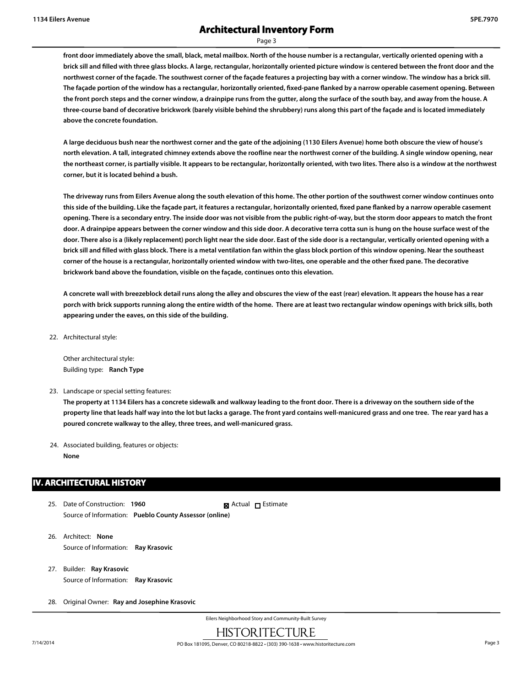Page 3

**front door immediately above the small, black, metal mailbox. North of the house number is a rectangular, vertically oriented opening with a brick sill and filled with three glass blocks. A large, rectangular, horizontally oriented picture window is centered between the front door and the northwest corner of the façade. The southwest corner of the façade features a projecting bay with a corner window. The window has a brick sill. The façade portion of the window has a rectangular, horizontally oriented, fixed-pane flanked by a narrow operable casement opening. Between the front porch steps and the corner window, a drainpipe runs from the gutter, along the surface of the south bay, and away from the house. A three-course band of decorative brickwork (barely visible behind the shrubbery) runs along this part of the façade and is located immediately above the concrete foundation.**

**A large deciduous bush near the northwest corner and the gate of the adjoining (1130 Eilers Avenue) home both obscure the view of house's north elevation. A tall, integrated chimney extends above the roofline near the northwest corner of the building. A single window opening, near the northeast corner, is partially visible. It appears to be rectangular, horizontally oriented, with two lites. There also is a window at the northwest corner, but it is located behind a bush.**

**The driveway runs from Eilers Avenue along the south elevation of this home. The other portion of the southwest corner window continues onto this side of the building. Like the façade part, it features a rectangular, horizontally oriented, fixed pane flanked by a narrow operable casement opening. There is a secondary entry. The inside door was not visible from the public right-of-way, but the storm door appears to match the front door. A drainpipe appears between the corner window and this side door. A decorative terra cotta sun is hung on the house surface west of the door. There also is a (likely replacement) porch light near the side door. East of the side door is a rectangular, vertically oriented opening with a brick sill and filled with glass block. There is a metal ventilation fan within the glass block portion of this window opening. Near the southeast corner of the house is a rectangular, horizontally oriented window with two-lites, one operable and the other fixed pane. The decorative brickwork band above the foundation, visible on the façade, continues onto this elevation.**

**A concrete wall with breezeblock detail runs along the alley and obscures the view of the east (rear) elevation. It appears the house has a rear porch with brick supports running along the entire width of the home. There are at least two rectangular window openings with brick sills, both appearing under the eaves, on this side of the building.**

22. Architectural style:

Other architectural style: Building type: **Ranch Type**

23. Landscape or special setting features:

**The property at 1134 Eilers has a concrete sidewalk and walkway leading to the front door. There is a driveway on the southern side of the property line that leads half way into the lot but lacks a garage. The front yard contains well-manicured grass and one tree. The rear yard has a poured concrete walkway to the alley, three trees, and well-manicured grass.**

24. Associated building, features or objects:

**None**

#### **IV. ARCHITECTURAL HISTORY**

- 25. Date of Construction: **1960** Source of Information: **Pueblo County Assessor (online) R** Actual □ Estimate
- 26. Architect: **None** Source of Information: **Ray Krasovic**
- 27. Builder: **Ray Krasovic** Source of Information: **Ray Krasovic**
- 28. Original Owner: **Ray and Josephine Krasovic**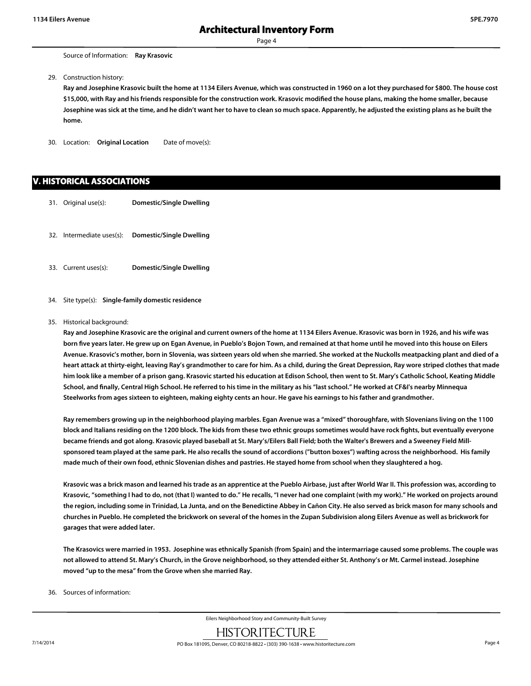Page 4

29. Construction history:

**Ray and Josephine Krasovic built the home at 1134 Eilers Avenue, which was constructed in 1960 on a lot they purchased for \$800. The house cost \$15,000, with Ray and his friends responsible for the construction work. Krasovic modified the house plans, making the home smaller, because Josephine was sick at the time, and he didn't want her to have to clean so much space. Apparently, he adjusted the existing plans as he built the home.**

30. Location: **Original Location** Date of move(s):

#### **V. HISTORICAL ASSOCIATIONS**

- 31. Original use(s): **Domestic/Single Dwelling**
- 32. Intermediate uses(s): **Domestic/Single Dwelling**
- 33. Current uses(s): **Domestic/Single Dwelling**
- 34. Site type(s): **Single-family domestic residence**

#### 35. Historical background:

**Ray and Josephine Krasovic are the original and current owners of the home at 1134 Eilers Avenue. Krasovic was born in 1926, and his wife was born five years later. He grew up on Egan Avenue, in Pueblo's Bojon Town, and remained at that home until he moved into this house on Eilers Avenue. Krasovic's mother, born in Slovenia, was sixteen years old when she married. She worked at the Nuckolls meatpacking plant and died of a heart attack at thirty-eight, leaving Ray's grandmother to care for him. As a child, during the Great Depression, Ray wore striped clothes that made him look like a member of a prison gang. Krasovic started his education at Edison School, then went to St. Mary's Catholic School, Keating Middle School, and finally, Central High School. He referred to his time in the military as his "last school." He worked at CF&I's nearby Minnequa Steelworks from ages sixteen to eighteen, making eighty cents an hour. He gave his earnings to his father and grandmother.**

**Ray remembers growing up in the neighborhood playing marbles. Egan Avenue was a "mixed" thoroughfare, with Slovenians living on the 1100 block and Italians residing on the 1200 block. The kids from these two ethnic groups sometimes would have rock fights, but eventually everyone became friends and got along. Krasovic played baseball at St. Mary's/Eilers Ball Field; both the Walter's Brewers and a Sweeney Field Millsponsored team played at the same park. He also recalls the sound of accordions ("button boxes") wafting across the neighborhood. His family made much of their own food, ethnic Slovenian dishes and pastries. He stayed home from school when they slaughtered a hog.**

**Krasovic was a brick mason and learned his trade as an apprentice at the Pueblo Airbase, just after World War II. This profession was, according to Krasovic, "something I had to do, not (that I) wanted to do." He recalls, "I never had one complaint (with my work)." He worked on projects around the region, including some in Trinidad, La Junta, and on the Benedictine Abbey in Cañon City. He also served as brick mason for many schools and churches in Pueblo. He completed the brickwork on several of the homes in the Zupan Subdivision along Eilers Avenue as well as brickwork for garages that were added later.**

**The Krasovics were married in 1953. Josephine was ethnically Spanish (from Spain) and the intermarriage caused some problems. The couple was not allowed to attend St. Mary's Church, in the Grove neighborhood, so they attended either St. Anthony's or Mt. Carmel instead. Josephine moved "up to the mesa" from the Grove when she married Ray.**

36. Sources of information: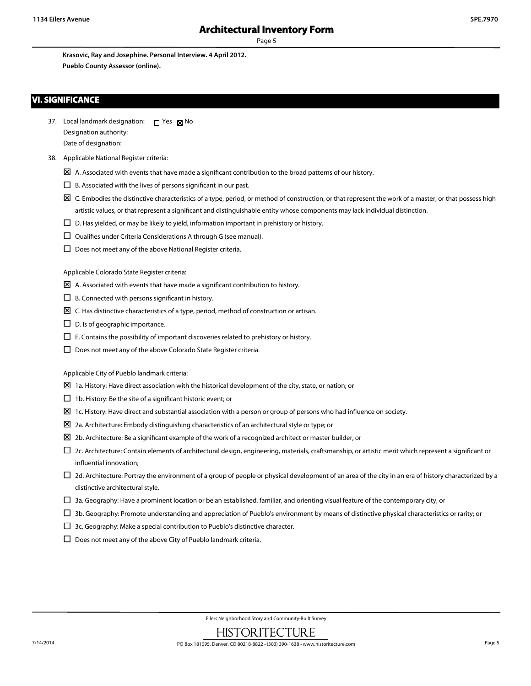Page 5

**Krasovic, Ray and Josephine. Personal Interview. 4 April 2012. Pueblo County Assessor (online).**

#### **VI. SIGNIFICANCE**

- 37. Local landmark designation:  $\Box$  Yes  $\boxtimes$  No Designation authority: Date of designation:
- 38. Applicable National Register criteria:
	- $\boxtimes$  A. Associated with events that have made a significant contribution to the broad patterns of our history.
	- $\square$  B. Associated with the lives of persons significant in our past.
	- $\boxtimes$  C. Embodies the distinctive characteristics of a type, period, or method of construction, or that represent the work of a master, or that possess high artistic values, or that represent a significant and distinguishable entity whose components may lack individual distinction.
	- $\square$  D. Has yielded, or may be likely to yield, information important in prehistory or history.
	- $\square$  Qualifies under Criteria Considerations A through G (see manual).
	- $\square$  Does not meet any of the above National Register criteria.

Applicable Colorado State Register criteria:

- $\boxtimes$  A. Associated with events that have made a significant contribution to history.
- $\Box$  B. Connected with persons significant in history.
- $\boxtimes$  C. Has distinctive characteristics of a type, period, method of construction or artisan.
- $\square$  D. Is of geographic importance.
- $\square$  E. Contains the possibility of important discoveries related to prehistory or history.
- $\Box$  Does not meet any of the above Colorado State Register criteria.

Applicable City of Pueblo landmark criteria:

- $\boxtimes$  1a. History: Have direct association with the historical development of the city, state, or nation; or
- $\Box$  1b. History: Be the site of a significant historic event; or
- $\Sigma$  1c. History: Have direct and substantial association with a person or group of persons who had influence on society.
- $\boxtimes$  2a. Architecture: Embody distinguishing characteristics of an architectural style or type; or
- $\Sigma$  2b. Architecture: Be a significant example of the work of a recognized architect or master builder, or
- $\square$  2c. Architecture: Contain elements of architectural design, engineering, materials, craftsmanship, or artistic merit which represent a significant or influential innovation;
- $\Box$  2d. Architecture: Portray the environment of a group of people or physical development of an area of the city in an era of history characterized by a distinctive architectural style.
- $\Box$  3a. Geography: Have a prominent location or be an established, familiar, and orienting visual feature of the contemporary city, or
- $\Box$  3b. Geography: Promote understanding and appreciation of Pueblo's environment by means of distinctive physical characteristics or rarity; or
- $\Box$  3c. Geography: Make a special contribution to Pueblo's distinctive character.
- $\square$  Does not meet any of the above City of Pueblo landmark criteria.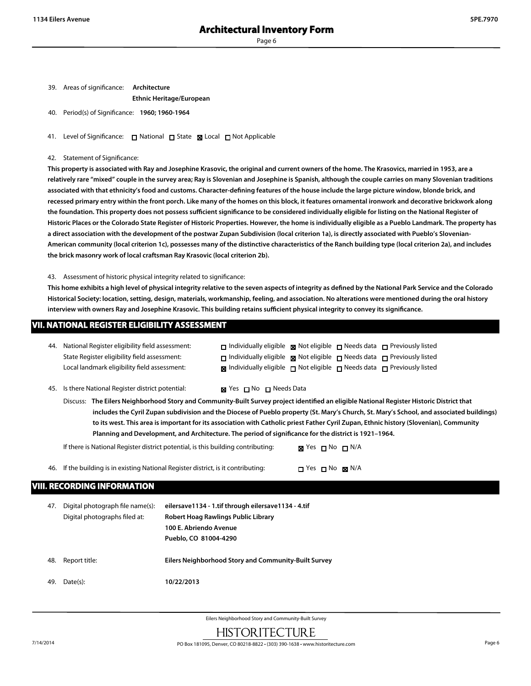| 39. | Areas of significance: | Architecture                    |  |  |
|-----|------------------------|---------------------------------|--|--|
|     |                        | <b>Ethnic Heritage/European</b> |  |  |

40. Period(s) of Significance: **1960; 1960-1964**

41. Level of Significance: □ National □ State 図 Local □ Not Applicable

#### 42. Statement of Significance:

**This property is associated with Ray and Josephine Krasovic, the original and current owners of the home. The Krasovics, married in 1953, are a relatively rare "mixed" couple in the survey area; Ray is Slovenian and Josephine is Spanish, although the couple carries on many Slovenian traditions associated with that ethnicity's food and customs. Character-defining features of the house include the large picture window, blonde brick, and recessed primary entry within the front porch. Like many of the homes on this block, it features ornamental ironwork and decorative brickwork along the foundation. This property does not possess sufficient significance to be considered individually eligible for listing on the National Register of Historic Places or the Colorado State Register of Historic Properties. However, the home is individually eligible as a Pueblo Landmark. The property has a direct association with the development of the postwar Zupan Subdivision (local criterion 1a), is directly associated with Pueblo's Slovenian-American community (local criterion 1c), possesses many of the distinctive characteristics of the Ranch building type (local criterion 2a), and includes the brick masonry work of local craftsman Ray Krasovic (local criterion 2b).**

43. Assessment of historic physical integrity related to significance:

**This home exhibits a high level of physical integrity relative to the seven aspects of integrity as defined by the National Park Service and the Colorado Historical Society: location, setting, design, materials, workmanship, feeling, and association. No alterations were mentioned during the oral history interview with owners Ray and Josephine Krasovic. This building retains sufficient physical integrity to convey its significance.**

|     | VII. NATIONAL REGISTER ELIGIBILITY ASSESSMENT                                                                                                                                                                                                                                                                                                                                                                                                                                                                                            |                                                                                                                                               |                                                                                                                                                                                                                                                                                                |  |
|-----|------------------------------------------------------------------------------------------------------------------------------------------------------------------------------------------------------------------------------------------------------------------------------------------------------------------------------------------------------------------------------------------------------------------------------------------------------------------------------------------------------------------------------------------|-----------------------------------------------------------------------------------------------------------------------------------------------|------------------------------------------------------------------------------------------------------------------------------------------------------------------------------------------------------------------------------------------------------------------------------------------------|--|
| 44. | National Register eligibility field assessment:<br>State Register eligibility field assessment:<br>Local landmark eligibility field assessment:                                                                                                                                                                                                                                                                                                                                                                                          |                                                                                                                                               | $\Box$ Individually eligible $\Box$ Not eligible $\Box$ Needs data $\Box$ Previously listed<br>$\Box$ Individually eligible $\Box$ Not eligible $\Box$ Needs data $\Box$ Previously listed<br>$\boxtimes$ Individually eligible $\Box$ Not eligible $\Box$ Needs data $\Box$ Previously listed |  |
| 45. | Is there National Register district potential:                                                                                                                                                                                                                                                                                                                                                                                                                                                                                           | $\boxtimes$ Yes $\Box$ No $\Box$ Needs Data                                                                                                   |                                                                                                                                                                                                                                                                                                |  |
|     | Discuss: The Eilers Neighborhood Story and Community-Built Survey project identified an eligible National Register Historic District that<br>includes the Cyril Zupan subdivision and the Diocese of Pueblo property (St. Mary's Church, St. Mary's School, and associated buildings)<br>to its west. This area is important for its association with Catholic priest Father Cyril Zupan, Ethnic history (Slovenian), Community<br>Planning and Development, and Architecture. The period of significance for the district is 1921-1964. |                                                                                                                                               |                                                                                                                                                                                                                                                                                                |  |
|     |                                                                                                                                                                                                                                                                                                                                                                                                                                                                                                                                          | If there is National Register district potential, is this building contributing:                                                              | $\boxtimes$ Yes $\Box$ No $\Box$ N/A                                                                                                                                                                                                                                                           |  |
| 46. |                                                                                                                                                                                                                                                                                                                                                                                                                                                                                                                                          | If the building is in existing National Register district, is it contributing:                                                                | $\Box$ Yes $\Box$ No $\boxtimes$ N/A                                                                                                                                                                                                                                                           |  |
|     | <b>VIII. RECORDING INFORMATION</b>                                                                                                                                                                                                                                                                                                                                                                                                                                                                                                       |                                                                                                                                               |                                                                                                                                                                                                                                                                                                |  |
| 47. | Digital photograph file name(s):<br>Digital photographs filed at:                                                                                                                                                                                                                                                                                                                                                                                                                                                                        | eilersave1134 - 1.tif through eilersave1134 - 4.tif<br>Robert Hoag Rawlings Public Library<br>100 E. Abriendo Avenue<br>Pueblo, CO 81004-4290 |                                                                                                                                                                                                                                                                                                |  |

49. Date(s): **10/22/2013**

48. Report title: **Eilers Neighborhood Story and Community-Built Survey**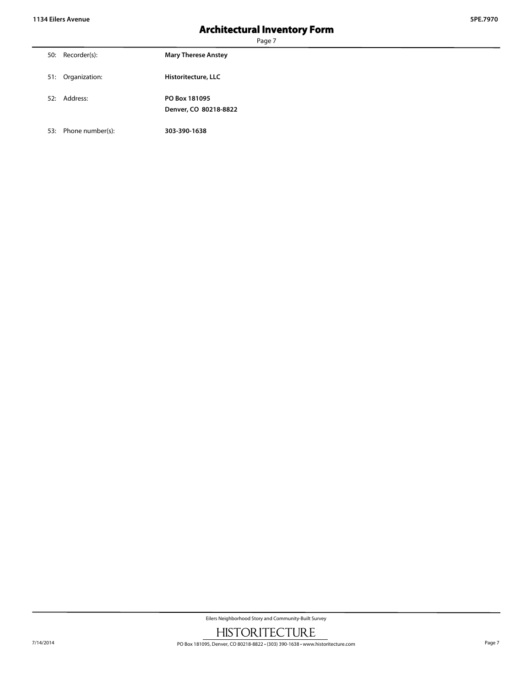Page 7

| 50: Recorder(s):  | <b>Mary Therese Anstey</b>             |
|-------------------|----------------------------------------|
| 51: Organization: | Historitecture, LLC                    |
| 52: Address:      | PO Box 181095<br>Denver, CO 80218-8822 |

53: Phone number(s): **303-390-1638**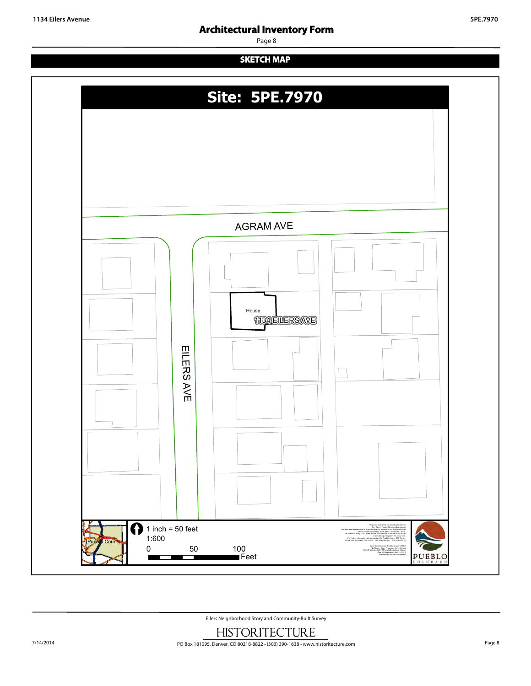Page 8

## **SKETCH MAP**